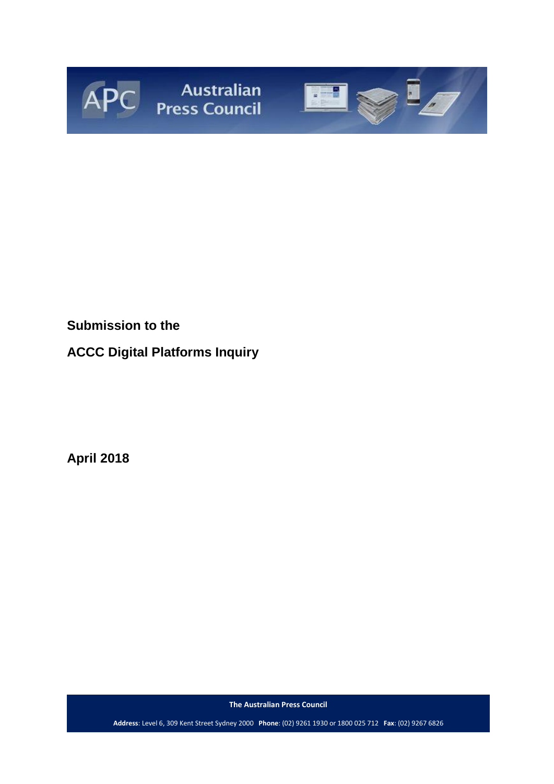



## **Submission to the**

# **ACCC Digital Platforms Inquiry**

**April 2018**

**The Australian Press Council**

**Address**: Level 6, 309 Kent Street Sydney 2000 **Phone**: (02) 9261 1930 or 1800 025 712 **Fax**: (02) 9267 6826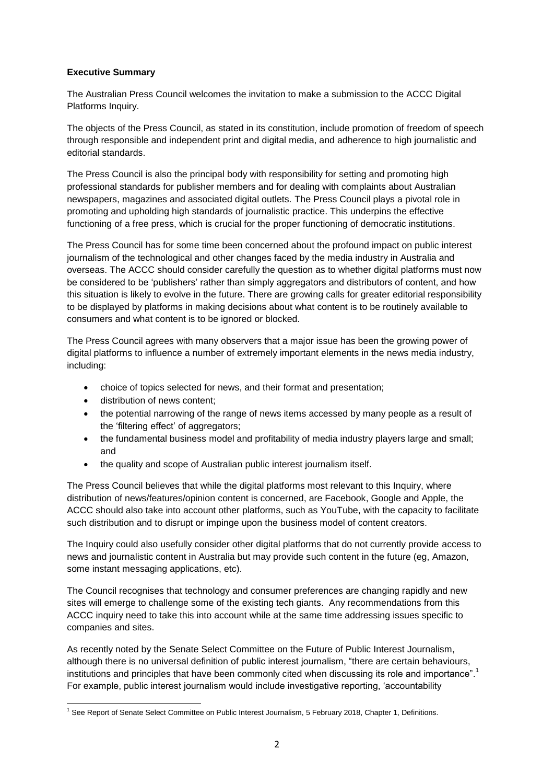## **Executive Summary**

The Australian Press Council welcomes the invitation to make a submission to the ACCC Digital Platforms Inquiry.

The objects of the Press Council, as stated in its constitution, include promotion of freedom of speech through responsible and independent print and digital media, and adherence to high journalistic and editorial standards.

The Press Council is also the principal body with responsibility for setting and promoting high professional standards for publisher members and for dealing with complaints about Australian newspapers, magazines and associated digital outlets. The Press Council plays a pivotal role in promoting and upholding high standards of journalistic practice. This underpins the effective functioning of a free press, which is crucial for the proper functioning of democratic institutions.

The Press Council has for some time been concerned about the profound impact on public interest journalism of the technological and other changes faced by the media industry in Australia and overseas. The ACCC should consider carefully the question as to whether digital platforms must now be considered to be 'publishers' rather than simply aggregators and distributors of content, and how this situation is likely to evolve in the future. There are growing calls for greater editorial responsibility to be displayed by platforms in making decisions about what content is to be routinely available to consumers and what content is to be ignored or blocked.

The Press Council agrees with many observers that a major issue has been the growing power of digital platforms to influence a number of extremely important elements in the news media industry, including:

- choice of topics selected for news, and their format and presentation;
- distribution of news content;
- the potential narrowing of the range of news items accessed by many people as a result of the 'filtering effect' of aggregators;
- the fundamental business model and profitability of media industry players large and small; and
- the quality and scope of Australian public interest journalism itself.

The Press Council believes that while the digital platforms most relevant to this Inquiry, where distribution of news/features/opinion content is concerned, are Facebook, Google and Apple, the ACCC should also take into account other platforms, such as YouTube, with the capacity to facilitate such distribution and to disrupt or impinge upon the business model of content creators.

The Inquiry could also usefully consider other digital platforms that do not currently provide access to news and journalistic content in Australia but may provide such content in the future (eg, Amazon, some instant messaging applications, etc).

The Council recognises that technology and consumer preferences are changing rapidly and new sites will emerge to challenge some of the existing tech giants. Any recommendations from this ACCC inquiry need to take this into account while at the same time addressing issues specific to companies and sites.

As recently noted by the Senate Select Committee on the Future of Public Interest Journalism, although there is no universal definition of public interest journalism, "there are certain behaviours, institutions and principles that have been commonly cited when discussing its role and importance".<sup>1</sup> For example, public interest journalism would include investigative reporting, 'accountability

**<sup>.</sup>** <sup>1</sup> See Report of Senate Select Committee on Public Interest Journalism, 5 February 2018, Chapter 1, Definitions.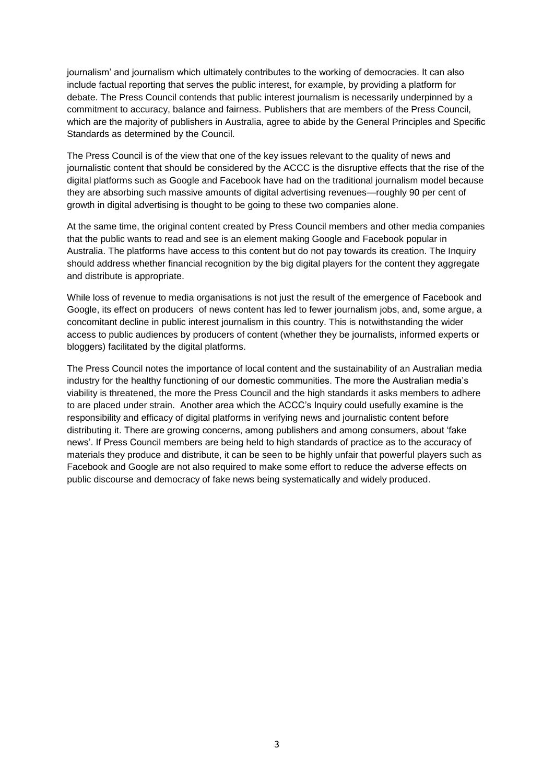journalism' and journalism which ultimately contributes to the working of democracies. It can also include factual reporting that serves the public interest, for example, by providing a platform for debate. The Press Council contends that public interest journalism is necessarily underpinned by a commitment to accuracy, balance and fairness. Publishers that are members of the Press Council, which are the majority of publishers in Australia, agree to abide by the General Principles and Specific Standards as determined by the Council.

The Press Council is of the view that one of the key issues relevant to the quality of news and journalistic content that should be considered by the ACCC is the disruptive effects that the rise of the digital platforms such as Google and Facebook have had on the traditional journalism model because they are absorbing such massive amounts of digital advertising revenues—roughly 90 per cent of growth in digital advertising is thought to be going to these two companies alone.

At the same time, the original content created by Press Council members and other media companies that the public wants to read and see is an element making Google and Facebook popular in Australia. The platforms have access to this content but do not pay towards its creation. The Inquiry should address whether financial recognition by the big digital players for the content they aggregate and distribute is appropriate.

While loss of revenue to media organisations is not just the result of the emergence of Facebook and Google, its effect on producers of news content has led to fewer journalism jobs, and, some argue, a concomitant decline in public interest journalism in this country. This is notwithstanding the wider access to public audiences by producers of content (whether they be journalists, informed experts or bloggers) facilitated by the digital platforms.

The Press Council notes the importance of local content and the sustainability of an Australian media industry for the healthy functioning of our domestic communities. The more the Australian media's viability is threatened, the more the Press Council and the high standards it asks members to adhere to are placed under strain. Another area which the ACCC's Inquiry could usefully examine is the responsibility and efficacy of digital platforms in verifying news and journalistic content before distributing it. There are growing concerns, among publishers and among consumers, about 'fake news'. If Press Council members are being held to high standards of practice as to the accuracy of materials they produce and distribute, it can be seen to be highly unfair that powerful players such as Facebook and Google are not also required to make some effort to reduce the adverse effects on public discourse and democracy of fake news being systematically and widely produced.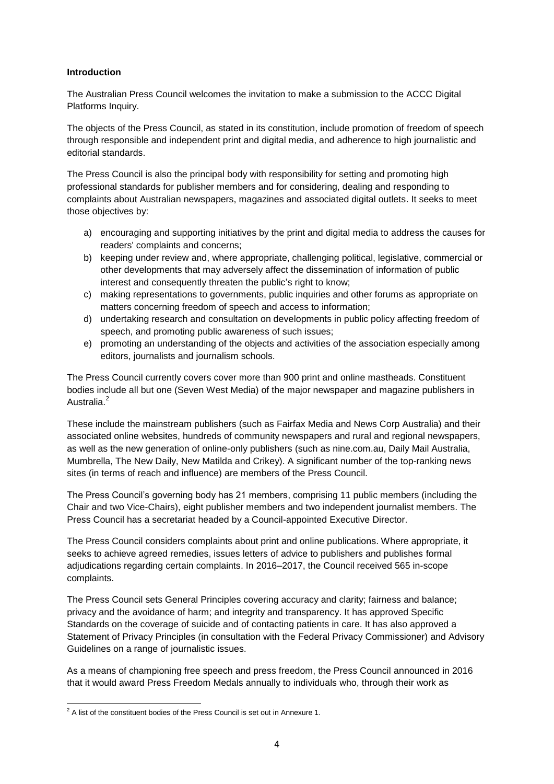## **Introduction**

The Australian Press Council welcomes the invitation to make a submission to the ACCC Digital Platforms Inquiry.

The objects of the Press Council, as stated in its constitution, include promotion of freedom of speech through responsible and independent print and digital media, and adherence to high journalistic and editorial standards.

The Press Council is also the principal body with responsibility for setting and promoting high professional standards for publisher members and for considering, dealing and responding to complaints about Australian newspapers, magazines and associated digital outlets. It seeks to meet those objectives by:

- a) encouraging and supporting initiatives by the print and digital media to address the causes for readers' complaints and concerns;
- b) keeping under review and, where appropriate, challenging political, legislative, commercial or other developments that may adversely affect the dissemination of information of public interest and consequently threaten the public's right to know:
- c) making representations to governments, public inquiries and other forums as appropriate on matters concerning freedom of speech and access to information;
- d) undertaking research and consultation on developments in public policy affecting freedom of speech, and promoting public awareness of such issues;
- e) promoting an understanding of the objects and activities of the association especially among editors, journalists and journalism schools.

The Press Council currently covers cover more than 900 print and online mastheads. Constituent bodies include all but one (Seven West Media) of the major newspaper and magazine publishers in Australia.<sup>2</sup>

These include the mainstream publishers (such as Fairfax Media and News Corp Australia) and their associated online websites, hundreds of community newspapers and rural and regional newspapers, as well as the new generation of online-only publishers (such as nine.com.au, Daily Mail Australia, Mumbrella, The New Daily, New Matilda and Crikey). A significant number of the top-ranking news sites (in terms of reach and influence) are members of the Press Council.

The Press Council's governing body has 21 members, comprising 11 public members (including the Chair and two Vice-Chairs), eight publisher members and two independent journalist members. The Press Council has a secretariat headed by a Council-appointed Executive Director.

The Press Council considers complaints about print and online publications. Where appropriate, it seeks to achieve agreed remedies, issues letters of advice to publishers and publishes formal adjudications regarding certain complaints. In 2016–2017, the Council received 565 in-scope complaints.

The Press Council sets General Principles covering accuracy and clarity; fairness and balance; privacy and the avoidance of harm; and integrity and transparency. It has approved Specific Standards on the coverage of suicide and of contacting patients in care. It has also approved a Statement of Privacy Principles (in consultation with the Federal Privacy Commissioner) and Advisory Guidelines on a range of journalistic issues.

As a means of championing free speech and press freedom, the Press Council announced in 2016 that it would award Press Freedom Medals annually to individuals who, through their work as

**<sup>.</sup>**  $2$  A list of the constituent bodies of the Press Council is set out in Annexure 1.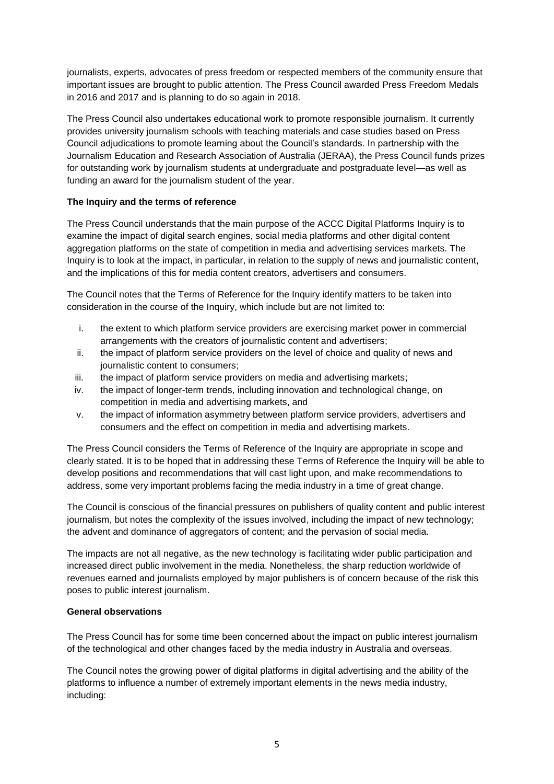journalists, experts, advocates of press freedom or respected members of the community ensure that important issues are brought to public attention. The Press Council awarded Press Freedom Medals in 2016 and 2017 and is planning to do so again in 2018.

The Press Council also undertakes educational work to promote responsible journalism. It currently provides university journalism schools with teaching materials and case studies based on Press Council adjudications to promote learning about the Council's standards. In partnership with the Journalism Education and Research Association of Australia (JERAA), the Press Council funds prizes for outstanding work by journalism students at undergraduate and postgraduate level—as well as funding an award for the journalism student of the year.

## **The Inquiry and the terms of reference**

The Press Council understands that the main purpose of the ACCC Digital Platforms Inquiry is to examine the impact of digital search engines, social media platforms and other digital content aggregation platforms on the state of competition in media and advertising services markets. The Inquiry is to look at the impact, in particular, in relation to the supply of news and journalistic content, and the implications of this for media content creators, advertisers and consumers.

The Council notes that the Terms of Reference for the Inquiry identify matters to be taken into consideration in the course of the Inquiry, which include but are not limited to:

- i. the extent to which platform service providers are exercising market power in commercial arrangements with the creators of journalistic content and advertisers;
- ii. the impact of platform service providers on the level of choice and quality of news and journalistic content to consumers;
- iii. the impact of platform service providers on media and advertising markets;
- iv. the impact of longer-term trends, including innovation and technological change, on competition in media and advertising markets, and
- v. the impact of information asymmetry between platform service providers, advertisers and consumers and the effect on competition in media and advertising markets.

The Press Council considers the Terms of Reference of the Inquiry are appropriate in scope and clearly stated. It is to be hoped that in addressing these Terms of Reference the Inquiry will be able to develop positions and recommendations that will cast light upon, and make recommendations to address, some very important problems facing the media industry in a time of great change.

The Council is conscious of the financial pressures on publishers of quality content and public interest journalism, but notes the complexity of the issues involved, including the impact of new technology; the advent and dominance of aggregators of content; and the pervasion of social media.

The impacts are not all negative, as the new technology is facilitating wider public participation and increased direct public involvement in the media. Nonetheless, the sharp reduction worldwide of revenues earned and journalists employed by major publishers is of concern because of the risk this poses to public interest journalism.

## **General observations**

The Press Council has for some time been concerned about the impact on public interest journalism of the technological and other changes faced by the media industry in Australia and overseas.

The Council notes the growing power of digital platforms in digital advertising and the ability of the platforms to influence a number of extremely important elements in the news media industry, including: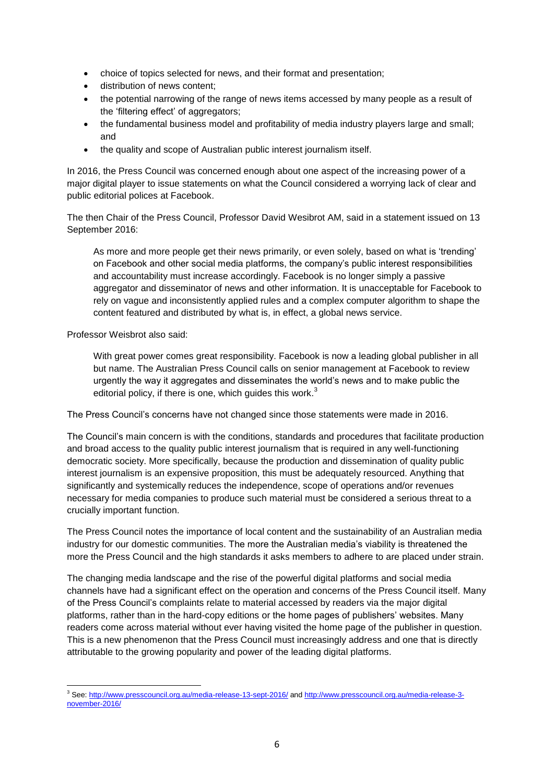- choice of topics selected for news, and their format and presentation;
- distribution of news content;
- the potential narrowing of the range of news items accessed by many people as a result of the 'filtering effect' of aggregators;
- the fundamental business model and profitability of media industry players large and small; and
- the quality and scope of Australian public interest journalism itself.

In 2016, the Press Council was concerned enough about one aspect of the increasing power of a major digital player to issue statements on what the Council considered a worrying lack of clear and public editorial polices at Facebook.

The then Chair of the Press Council, Professor David Wesibrot AM, said in a statement issued on 13 September 2016:

As more and more people get their news primarily, or even solely, based on what is 'trending' on Facebook and other social media platforms, the company's public interest responsibilities and accountability must increase accordingly. Facebook is no longer simply a passive aggregator and disseminator of news and other information. It is unacceptable for Facebook to rely on vague and inconsistently applied rules and a complex computer algorithm to shape the content featured and distributed by what is, in effect, a global news service.

Professor Weisbrot also said:

With great power comes great responsibility. Facebook is now a leading global publisher in all but name. The Australian Press Council calls on senior management at Facebook to review urgently the way it aggregates and disseminates the world's news and to make public the editorial policy, if there is one, which quides this work. $3$ 

The Press Council's concerns have not changed since those statements were made in 2016.

The Council's main concern is with the conditions, standards and procedures that facilitate production and broad access to the quality public interest journalism that is required in any well-functioning democratic society. More specifically, because the production and dissemination of quality public interest journalism is an expensive proposition, this must be adequately resourced. Anything that significantly and systemically reduces the independence, scope of operations and/or revenues necessary for media companies to produce such material must be considered a serious threat to a crucially important function.

The Press Council notes the importance of local content and the sustainability of an Australian media industry for our domestic communities. The more the Australian media's viability is threatened the more the Press Council and the high standards it asks members to adhere to are placed under strain.

The changing media landscape and the rise of the powerful digital platforms and social media channels have had a significant effect on the operation and concerns of the Press Council itself. Many of the Press Council's complaints relate to material accessed by readers via the major digital platforms, rather than in the hard-copy editions or the home pages of publishers' websites. Many readers come across material without ever having visited the home page of the publisher in question. This is a new phenomenon that the Press Council must increasingly address and one that is directly attributable to the growing popularity and power of the leading digital platforms.

<sup>1</sup> <sup>3</sup> See[: http://www.presscouncil.org.au/media-release-13-sept-2016/](http://www.presscouncil.org.au/media-release-13-sept-2016/) an[d http://www.presscouncil.org.au/media-release-3](http://www.presscouncil.org.au/media-release-3-november-2016/) [november-2016/](http://www.presscouncil.org.au/media-release-3-november-2016/)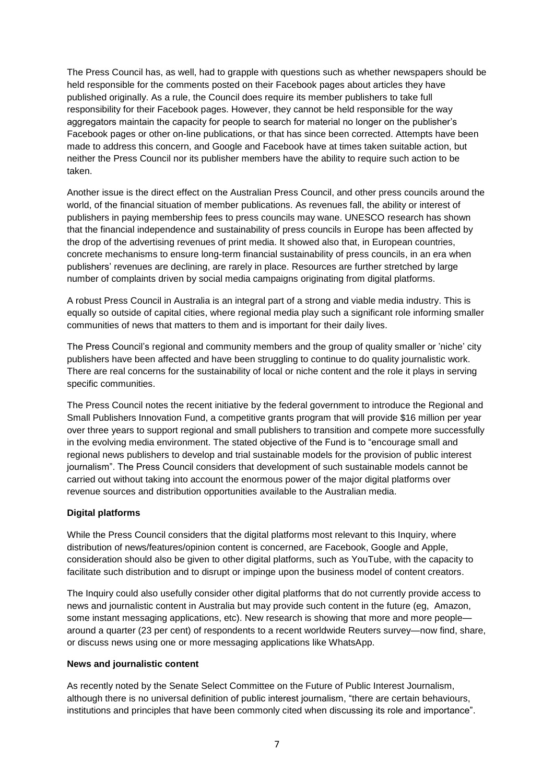The Press Council has, as well, had to grapple with questions such as whether newspapers should be held responsible for the comments posted on their Facebook pages about articles they have published originally. As a rule, the Council does require its member publishers to take full responsibility for their Facebook pages. However, they cannot be held responsible for the way aggregators maintain the capacity for people to search for material no longer on the publisher's Facebook pages or other on-line publications, or that has since been corrected. Attempts have been made to address this concern, and Google and Facebook have at times taken suitable action, but neither the Press Council nor its publisher members have the ability to require such action to be taken.

Another issue is the direct effect on the Australian Press Council, and other press councils around the world, of the financial situation of member publications. As revenues fall, the ability or interest of publishers in paying membership fees to press councils may wane. UNESCO research has shown that the financial independence and sustainability of press councils in Europe has been affected by the drop of the advertising revenues of print media. It showed also that, in European countries, concrete mechanisms to ensure long-term financial sustainability of press councils, in an era when publishers' revenues are declining, are rarely in place. Resources are further stretched by large number of complaints driven by social media campaigns originating from digital platforms.

A robust Press Council in Australia is an integral part of a strong and viable media industry. This is equally so outside of capital cities, where regional media play such a significant role informing smaller communities of news that matters to them and is important for their daily lives.

The Press Council's regional and community members and the group of quality smaller or 'niche' city publishers have been affected and have been struggling to continue to do quality journalistic work. There are real concerns for the sustainability of local or niche content and the role it plays in serving specific communities.

The Press Council notes the recent initiative by the federal government to introduce the Regional and Small Publishers Innovation Fund, a competitive grants program that will provide \$16 million per year over three years to support regional and small publishers to transition and compete more successfully in the evolving media environment. The stated objective of the Fund is to "encourage small and regional news publishers to develop and trial sustainable models for the provision of public interest journalism". The Press Council considers that development of such sustainable models cannot be carried out without taking into account the enormous power of the major digital platforms over revenue sources and distribution opportunities available to the Australian media.

## **Digital platforms**

While the Press Council considers that the digital platforms most relevant to this Inquiry, where distribution of news/features/opinion content is concerned, are Facebook, Google and Apple, consideration should also be given to other digital platforms, such as YouTube, with the capacity to facilitate such distribution and to disrupt or impinge upon the business model of content creators.

The Inquiry could also usefully consider other digital platforms that do not currently provide access to news and journalistic content in Australia but may provide such content in the future (eg, Amazon, some instant messaging applications, etc). New research is showing that more and more people around a quarter (23 per cent) of respondents to a recent worldwide Reuters survey—now find, share, or discuss news using one or more messaging applications like WhatsApp.

#### **News and journalistic content**

As recently noted by the Senate Select Committee on the Future of Public Interest Journalism, although there is no universal definition of public interest journalism, "there are certain behaviours, institutions and principles that have been commonly cited when discussing its role and importance".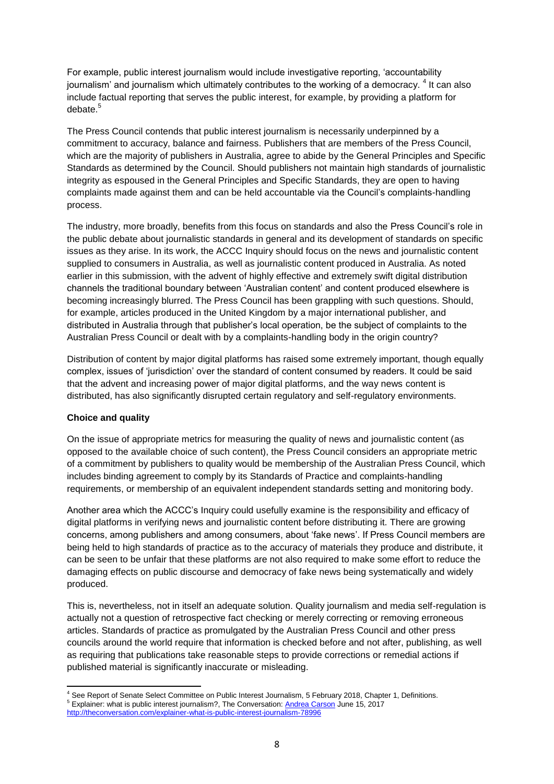For example, public interest journalism would include investigative reporting, 'accountability journalism' and journalism which ultimately contributes to the working of a democracy. <sup>4</sup> It can also include factual reporting that serves the public interest, for example, by providing a platform for debate.<sup>5</sup>

The Press Council contends that public interest journalism is necessarily underpinned by a commitment to accuracy, balance and fairness. Publishers that are members of the Press Council, which are the majority of publishers in Australia, agree to abide by the General Principles and Specific Standards as determined by the Council. Should publishers not maintain high standards of journalistic integrity as espoused in the General Principles and Specific Standards, they are open to having complaints made against them and can be held accountable via the Council's complaints-handling process.

The industry, more broadly, benefits from this focus on standards and also the Press Council's role in the public debate about journalistic standards in general and its development of standards on specific issues as they arise. In its work, the ACCC Inquiry should focus on the news and journalistic content supplied to consumers in Australia, as well as journalistic content produced in Australia. As noted earlier in this submission, with the advent of highly effective and extremely swift digital distribution channels the traditional boundary between 'Australian content' and content produced elsewhere is becoming increasingly blurred. The Press Council has been grappling with such questions. Should, for example, articles produced in the United Kingdom by a major international publisher, and distributed in Australia through that publisher's local operation, be the subject of complaints to the Australian Press Council or dealt with by a complaints-handling body in the origin country?

Distribution of content by major digital platforms has raised some extremely important, though equally complex, issues of 'jurisdiction' over the standard of content consumed by readers. It could be said that the advent and increasing power of major digital platforms, and the way news content is distributed, has also significantly disrupted certain regulatory and self-regulatory environments.

## **Choice and quality**

On the issue of appropriate metrics for measuring the quality of news and journalistic content (as opposed to the available choice of such content), the Press Council considers an appropriate metric of a commitment by publishers to quality would be membership of the Australian Press Council, which includes binding agreement to comply by its Standards of Practice and complaints-handling requirements, or membership of an equivalent independent standards setting and monitoring body.

Another area which the ACCC's Inquiry could usefully examine is the responsibility and efficacy of digital platforms in verifying news and journalistic content before distributing it. There are growing concerns, among publishers and among consumers, about 'fake news'. If Press Council members are being held to high standards of practice as to the accuracy of materials they produce and distribute, it can be seen to be unfair that these platforms are not also required to make some effort to reduce the damaging effects on public discourse and democracy of fake news being systematically and widely produced.

This is, nevertheless, not in itself an adequate solution. Quality journalism and media self-regulation is actually not a question of retrospective fact checking or merely correcting or removing erroneous articles. Standards of practice as promulgated by the Australian Press Council and other press councils around the world require that information is checked before and not after, publishing, as well as requiring that publications take reasonable steps to provide corrections or remedial actions if published material is significantly inaccurate or misleading.

**<sup>.</sup>** <sup>4</sup> See Report of Senate Select Committee on Public Interest Journalism, 5 February 2018, Chapter 1, Definitions. See Report of Jenale Jelect Commission of the Conversation[: Andrea Carson](http://theconversation.com/profiles/andrea-carson-924) June 15, 2017 <http://theconversation.com/explainer-what-is-public-interest-journalism-78996>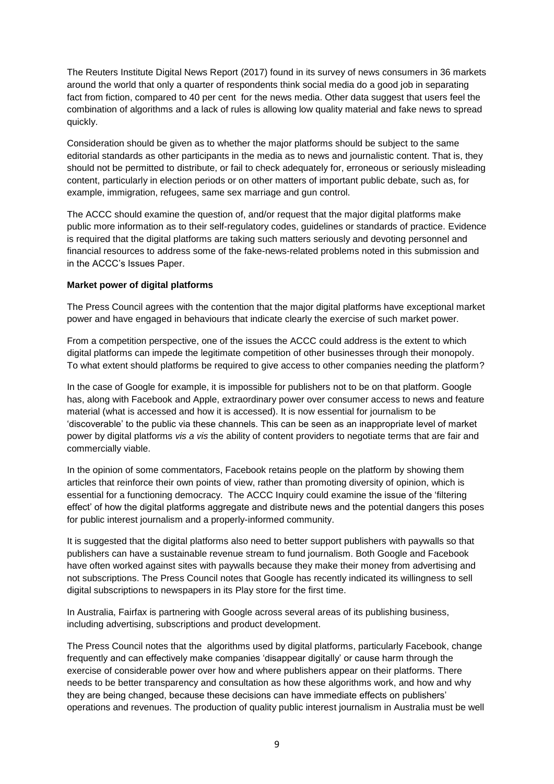The Reuters Institute Digital News Report (2017) found in its survey of news consumers in 36 markets around the world that only a quarter of respondents think social media do a good job in separating fact from fiction, compared to 40 per cent for the news media. Other data suggest that users feel the combination of algorithms and a lack of rules is allowing low quality material and fake news to spread quickly.

Consideration should be given as to whether the major platforms should be subject to the same editorial standards as other participants in the media as to news and journalistic content. That is, they should not be permitted to distribute, or fail to check adequately for, erroneous or seriously misleading content, particularly in election periods or on other matters of important public debate, such as, for example, immigration, refugees, same sex marriage and gun control.

The ACCC should examine the question of, and/or request that the major digital platforms make public more information as to their self-regulatory codes, guidelines or standards of practice. Evidence is required that the digital platforms are taking such matters seriously and devoting personnel and financial resources to address some of the fake-news-related problems noted in this submission and in the ACCC's Issues Paper.

## **Market power of digital platforms**

The Press Council agrees with the contention that the major digital platforms have exceptional market power and have engaged in behaviours that indicate clearly the exercise of such market power.

From a competition perspective, one of the issues the ACCC could address is the extent to which digital platforms can impede the legitimate competition of other businesses through their monopoly. To what extent should platforms be required to give access to other companies needing the platform?

In the case of Google for example, it is impossible for publishers not to be on that platform. Google has, along with Facebook and Apple, extraordinary power over consumer access to news and feature material (what is accessed and how it is accessed). It is now essential for journalism to be 'discoverable' to the public via these channels. This can be seen as an inappropriate level of market power by digital platforms *vis a vis* the ability of content providers to negotiate terms that are fair and commercially viable.

In the opinion of some commentators, Facebook retains people on the platform by showing them articles that reinforce their own points of view, rather than promoting diversity of opinion, which is essential for a functioning democracy. The ACCC Inquiry could examine the issue of the 'filtering effect' of how the digital platforms aggregate and distribute news and the potential dangers this poses for public interest journalism and a properly-informed community.

It is suggested that the digital platforms also need to better support publishers with paywalls so that publishers can have a sustainable revenue stream to fund journalism. Both Google and Facebook have often worked against sites with paywalls because they make their money from advertising and not subscriptions. The Press Council notes that Google has recently indicated its willingness to sell digital subscriptions to newspapers in its Play store for the first time.

In Australia, Fairfax is partnering with Google across several areas of its publishing business, including advertising, subscriptions and product development.

The Press Council notes that the algorithms used by digital platforms, particularly Facebook, change frequently and can effectively make companies 'disappear digitally' or cause harm through the exercise of considerable power over how and where publishers appear on their platforms. There needs to be better transparency and consultation as how these algorithms work, and how and why they are being changed, because these decisions can have immediate effects on publishers' operations and revenues. The production of quality public interest journalism in Australia must be well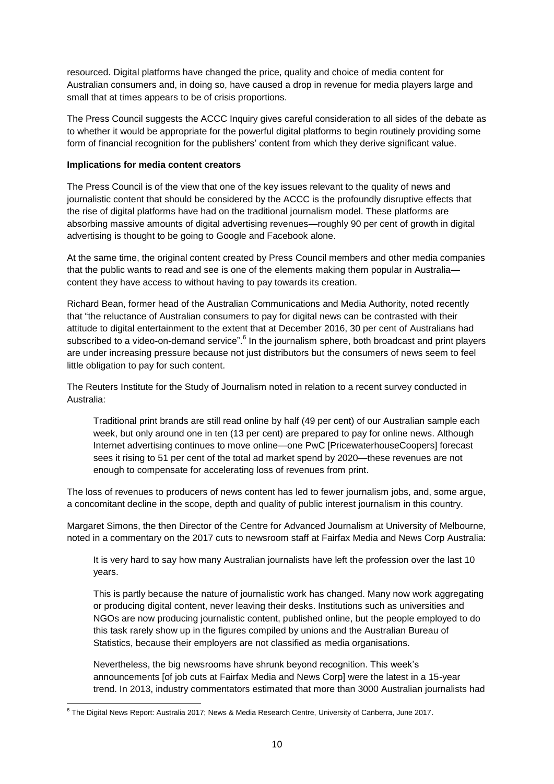resourced. Digital platforms have changed the price, quality and choice of media content for Australian consumers and, in doing so, have caused a drop in revenue for media players large and small that at times appears to be of crisis proportions.

The Press Council suggests the ACCC Inquiry gives careful consideration to all sides of the debate as to whether it would be appropriate for the powerful digital platforms to begin routinely providing some form of financial recognition for the publishers' content from which they derive significant value.

## **Implications for media content creators**

The Press Council is of the view that one of the key issues relevant to the quality of news and journalistic content that should be considered by the ACCC is the profoundly disruptive effects that the rise of digital platforms have had on the traditional journalism model. These platforms are absorbing massive amounts of digital advertising revenues—roughly 90 per cent of growth in digital advertising is thought to be going to Google and Facebook alone.

At the same time, the original content created by Press Council members and other media companies that the public wants to read and see is one of the elements making them popular in Australia content they have access to without having to pay towards its creation.

Richard Bean, former head of the Australian Communications and Media Authority, noted recently that "the reluctance of Australian consumers to pay for digital news can be contrasted with their attitude to digital entertainment to the extent that at December 2016, 30 per cent of Australians had subscribed to a video-on-demand service".<sup>6</sup> In the journalism sphere, both broadcast and print players are under increasing pressure because not just distributors but the consumers of news seem to feel little obligation to pay for such content.

The Reuters Institute for the Study of Journalism noted in relation to a recent survey conducted in Australia:

Traditional print brands are still read online by half (49 per cent) of our Australian sample each week, but only around one in ten (13 per cent) are prepared to pay for online news. Although Internet advertising continues to move online—one PwC [PricewaterhouseCoopers] forecast sees it rising to 51 per cent of the total ad market spend by 2020—these revenues are not enough to compensate for accelerating loss of revenues from print.

The loss of revenues to producers of news content has led to fewer journalism jobs, and, some argue, a concomitant decline in the scope, depth and quality of public interest journalism in this country.

Margaret Simons, the then Director of the Centre for Advanced Journalism at University of Melbourne, noted in a commentary on the 2017 cuts to newsroom staff at Fairfax Media and News Corp Australia:

It is very hard to say how many Australian journalists have left the profession over the last 10 years.

This is partly because the nature of journalistic work has changed. Many now work aggregating or producing digital content, never leaving their desks. Institutions such as universities and NGOs are now producing journalistic content, published online, but the people employed to do this task rarely show up in the figures compiled by unions and the Australian Bureau of Statistics, because their employers are not classified as media organisations.

Nevertheless, the big newsrooms have shrunk beyond recognition. This week's announcements [of job cuts at Fairfax Media and News Corp] were the latest in a 15-year trend. In 2013, industry commentators estimated that more than 3000 Australian journalists had

 6 The Digital News Report: Australia 2017; News & Media Research Centre, University of Canberra, June 2017.